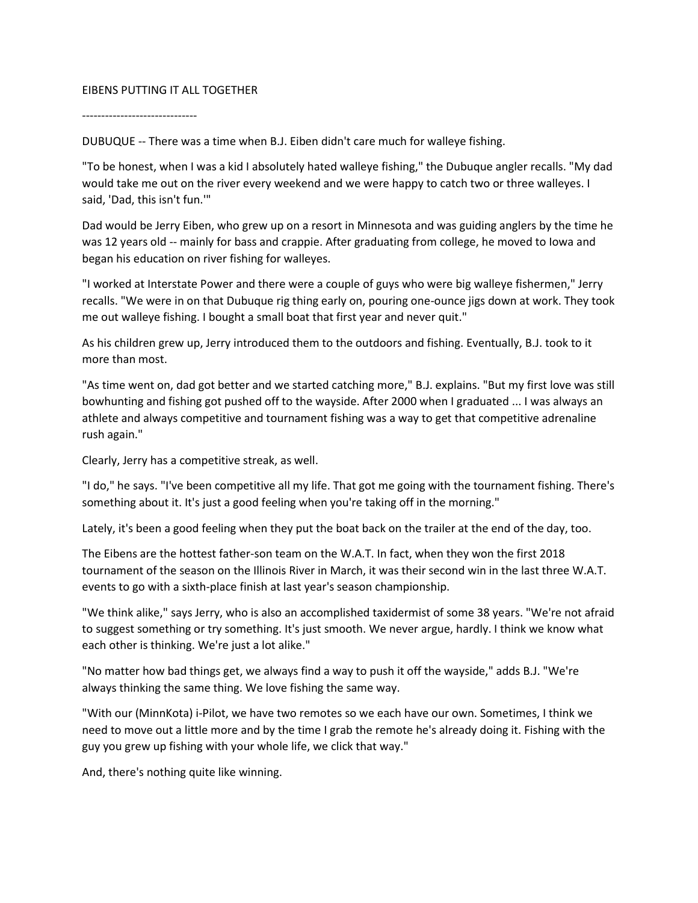## EIBENS PUTTING IT ALL TOGETHER

------------------------------

DUBUQUE -- There was a time when B.J. Eiben didn't care much for walleye fishing.

"To be honest, when I was a kid I absolutely hated walleye fishing," the Dubuque angler recalls. "My dad would take me out on the river every weekend and we were happy to catch two or three walleyes. I said, 'Dad, this isn't fun.'"

Dad would be Jerry Eiben, who grew up on a resort in Minnesota and was guiding anglers by the time he was 12 years old -- mainly for bass and crappie. After graduating from college, he moved to Iowa and began his education on river fishing for walleyes.

"I worked at Interstate Power and there were a couple of guys who were big walleye fishermen," Jerry recalls. "We were in on that Dubuque rig thing early on, pouring one-ounce jigs down at work. They took me out walleye fishing. I bought a small boat that first year and never quit."

As his children grew up, Jerry introduced them to the outdoors and fishing. Eventually, B.J. took to it more than most.

"As time went on, dad got better and we started catching more," B.J. explains. "But my first love was still bowhunting and fishing got pushed off to the wayside. After 2000 when I graduated ... I was always an athlete and always competitive and tournament fishing was a way to get that competitive adrenaline rush again."

Clearly, Jerry has a competitive streak, as well.

"I do," he says. "I've been competitive all my life. That got me going with the tournament fishing. There's something about it. It's just a good feeling when you're taking off in the morning."

Lately, it's been a good feeling when they put the boat back on the trailer at the end of the day, too.

The Eibens are the hottest father-son team on the W.A.T. In fact, when they won the first 2018 tournament of the season on the Illinois River in March, it was their second win in the last three W.A.T. events to go with a sixth-place finish at last year's season championship.

"We think alike," says Jerry, who is also an accomplished taxidermist of some 38 years. "We're not afraid to suggest something or try something. It's just smooth. We never argue, hardly. I think we know what each other is thinking. We're just a lot alike."

"No matter how bad things get, we always find a way to push it off the wayside," adds B.J. "We're always thinking the same thing. We love fishing the same way.

"With our (MinnKota) i-Pilot, we have two remotes so we each have our own. Sometimes, I think we need to move out a little more and by the time I grab the remote he's already doing it. Fishing with the guy you grew up fishing with your whole life, we click that way."

And, there's nothing quite like winning.